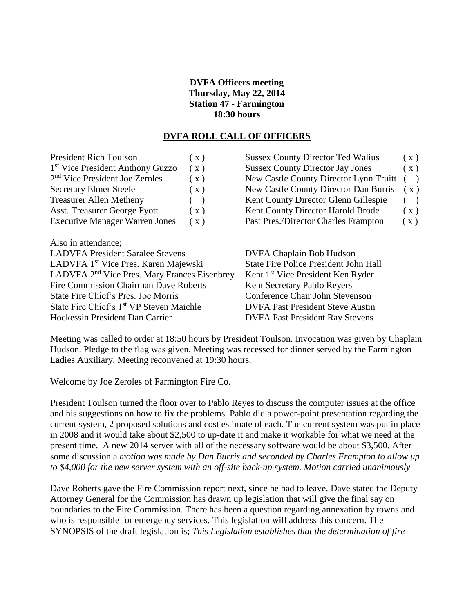## **DVFA Officers meeting Thursday, May 22, 2014 Station 47 - Farmington 18:30 hours**

## **DVFA ROLL CALL OF OFFICERS**

| <b>President Rich Toulson</b>                            | (x) | <b>Sussex County Director Ted Walius</b>      | (x)           |
|----------------------------------------------------------|-----|-----------------------------------------------|---------------|
| 1 <sup>st</sup> Vice President Anthony Guzzo             | (x) | <b>Sussex County Director Jay Jones</b>       | (x)           |
| 2 <sup>nd</sup> Vice President Joe Zeroles               | (x) | New Castle County Director Lynn Truitt        | $\rightarrow$ |
| <b>Secretary Elmer Steele</b>                            | (x) | New Castle County Director Dan Burris         | (x)           |
| <b>Treasurer Allen Metheny</b>                           |     | Kent County Director Glenn Gillespie          | $\rightarrow$ |
| <b>Asst. Treasurer George Pyott</b>                      | (x) | Kent County Director Harold Brode             | (x)           |
| <b>Executive Manager Warren Jones</b>                    | (x) | Past Pres./Director Charles Frampton          | (x)           |
| Also in attendance;                                      |     |                                               |               |
| <b>LADVFA President Saralee Stevens</b>                  |     | DVFA Chaplain Bob Hudson                      |               |
| LADVFA 1 <sup>st</sup> Vice Pres. Karen Majewski         |     | <b>State Fire Police President John Hall</b>  |               |
| LADVFA 2 <sup>nd</sup> Vice Pres. Mary Frances Eisenbrey |     | Kent 1 <sup>st</sup> Vice President Ken Ryder |               |
| Fire Commission Chairman Dave Roberts                    |     | Kent Secretary Pablo Reyers                   |               |
| State Fire Chief's Pres. Joe Morris                      |     | Conference Chair John Stevenson               |               |
| State Fire Chief's 1 <sup>st</sup> VP Steven Maichle     |     | <b>DVFA Past President Steve Austin</b>       |               |
| Hockessin President Dan Carrier                          |     | <b>DVFA Past President Ray Stevens</b>        |               |
|                                                          |     |                                               |               |

Meeting was called to order at 18:50 hours by President Toulson. Invocation was given by Chaplain Hudson. Pledge to the flag was given. Meeting was recessed for dinner served by the Farmington Ladies Auxiliary. Meeting reconvened at 19:30 hours.

Welcome by Joe Zeroles of Farmington Fire Co.

President Toulson turned the floor over to Pablo Reyes to discuss the computer issues at the office and his suggestions on how to fix the problems. Pablo did a power-point presentation regarding the current system, 2 proposed solutions and cost estimate of each. The current system was put in place in 2008 and it would take about \$2,500 to up-date it and make it workable for what we need at the present time. A new 2014 server with all of the necessary software would be about \$3,500. After some discussion a *motion was made by Dan Burris and seconded by Charles Frampton to allow up to \$4,000 for the new server system with an off-site back-up system. Motion carried unanimously*

Dave Roberts gave the Fire Commission report next, since he had to leave. Dave stated the Deputy Attorney General for the Commission has drawn up legislation that will give the final say on boundaries to the Fire Commission. There has been a question regarding annexation by towns and who is responsible for emergency services. This legislation will address this concern. The SYNOPSIS of the draft legislation is; *This Legislation establishes that the determination of fire*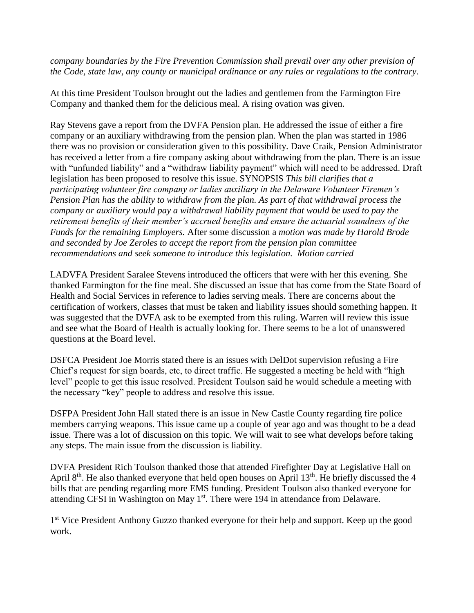*company boundaries by the Fire Prevention Commission shall prevail over any other prevision of the Code, state law, any county or municipal ordinance or any rules or regulations to the contrary.*

At this time President Toulson brought out the ladies and gentlemen from the Farmington Fire Company and thanked them for the delicious meal. A rising ovation was given.

Ray Stevens gave a report from the DVFA Pension plan. He addressed the issue of either a fire company or an auxiliary withdrawing from the pension plan. When the plan was started in 1986 there was no provision or consideration given to this possibility. Dave Craik, Pension Administrator has received a letter from a fire company asking about withdrawing from the plan. There is an issue with "unfunded liability" and a "withdraw liability payment" which will need to be addressed. Draft legislation has been proposed to resolve this issue. SYNOPSIS *This bill clarifies that a participating volunteer fire company or ladies auxiliary in the Delaware Volunteer Firemen's Pension Plan has the ability to withdraw from the plan. As part of that withdrawal process the company or auxiliary would pay a withdrawal liability payment that would be used to pay the retirement benefits of their member's accrued benefits and ensure the actuarial soundness of the Funds for the remaining Employers.* After some discussion a *motion was made by Harold Brode and seconded by Joe Zeroles to accept the report from the pension plan committee recommendations and seek someone to introduce this legislation. Motion carried*

LADVFA President Saralee Stevens introduced the officers that were with her this evening. She thanked Farmington for the fine meal. She discussed an issue that has come from the State Board of Health and Social Services in reference to ladies serving meals. There are concerns about the certification of workers, classes that must be taken and liability issues should something happen. It was suggested that the DVFA ask to be exempted from this ruling. Warren will review this issue and see what the Board of Health is actually looking for. There seems to be a lot of unanswered questions at the Board level.

DSFCA President Joe Morris stated there is an issues with DelDot supervision refusing a Fire Chief's request for sign boards, etc, to direct traffic. He suggested a meeting be held with "high level" people to get this issue resolved. President Toulson said he would schedule a meeting with the necessary "key" people to address and resolve this issue.

DSFPA President John Hall stated there is an issue in New Castle County regarding fire police members carrying weapons. This issue came up a couple of year ago and was thought to be a dead issue. There was a lot of discussion on this topic. We will wait to see what develops before taking any steps. The main issue from the discussion is liability.

DVFA President Rich Toulson thanked those that attended Firefighter Day at Legislative Hall on April  $8<sup>th</sup>$ . He also thanked everyone that held open houses on April 13<sup>th</sup>. He briefly discussed the 4 bills that are pending regarding more EMS funding. President Toulson also thanked everyone for attending CFSI in Washington on May  $1<sup>st</sup>$ . There were 194 in attendance from Delaware.

1<sup>st</sup> Vice President Anthony Guzzo thanked everyone for their help and support. Keep up the good work.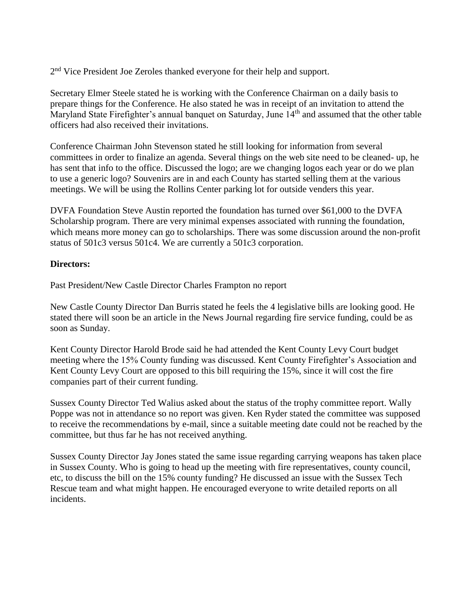2<sup>nd</sup> Vice President Joe Zeroles thanked everyone for their help and support.

Secretary Elmer Steele stated he is working with the Conference Chairman on a daily basis to prepare things for the Conference. He also stated he was in receipt of an invitation to attend the Maryland State Firefighter's annual banquet on Saturday, June 14<sup>th</sup> and assumed that the other table officers had also received their invitations.

Conference Chairman John Stevenson stated he still looking for information from several committees in order to finalize an agenda. Several things on the web site need to be cleaned- up, he has sent that info to the office. Discussed the logo; are we changing logos each year or do we plan to use a generic logo? Souvenirs are in and each County has started selling them at the various meetings. We will be using the Rollins Center parking lot for outside venders this year.

DVFA Foundation Steve Austin reported the foundation has turned over \$61,000 to the DVFA Scholarship program. There are very minimal expenses associated with running the foundation, which means more money can go to scholarships. There was some discussion around the non-profit status of 501c3 versus 501c4. We are currently a 501c3 corporation.

## **Directors:**

Past President/New Castle Director Charles Frampton no report

New Castle County Director Dan Burris stated he feels the 4 legislative bills are looking good. He stated there will soon be an article in the News Journal regarding fire service funding, could be as soon as Sunday.

Kent County Director Harold Brode said he had attended the Kent County Levy Court budget meeting where the 15% County funding was discussed. Kent County Firefighter's Association and Kent County Levy Court are opposed to this bill requiring the 15%, since it will cost the fire companies part of their current funding.

Sussex County Director Ted Walius asked about the status of the trophy committee report. Wally Poppe was not in attendance so no report was given. Ken Ryder stated the committee was supposed to receive the recommendations by e-mail, since a suitable meeting date could not be reached by the committee, but thus far he has not received anything.

Sussex County Director Jay Jones stated the same issue regarding carrying weapons has taken place in Sussex County. Who is going to head up the meeting with fire representatives, county council, etc, to discuss the bill on the 15% county funding? He discussed an issue with the Sussex Tech Rescue team and what might happen. He encouraged everyone to write detailed reports on all incidents.